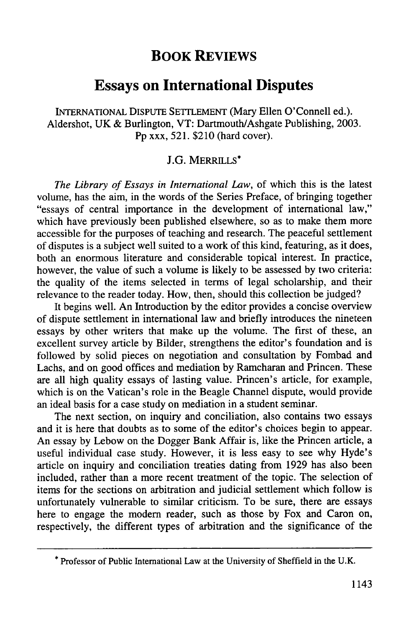## **BOOK REVIEWS**

## **Essays on International Disputes**

**INTERNATIONAL DISPUTE** SETrLEMENT (Mary Ellen O'Connell ed.). Aldershot, **UK &** Burlington, VT: DartmouthlAshgate Publishing, **2003. Pp** xxx, **521.** \$210 (hard cover).

## J.G. MERRILLS\*

*The Library of Essays in International Law,* of which this is the latest volume, has the aim, in the words of the Series Preface, of bringing together "essays of central importance in the development of international law," which have previously been published elsewhere, so as to make them more accessible for the purposes of teaching and research. The peaceful settlement of disputes is a subject well suited to a work of this kind, featuring, as it does, both an enormous literature and considerable topical interest. In practice, however, the value of such a volume is likely to be assessed **by** two criteria: the quality of the items selected in terms of legal scholarship, and their relevance to the reader today. How, then, should this collection be judged?

It begins well. An Introduction **by** the editor provides a concise overview of dispute settlement in international law and briefly introduces the nineteen essays **by** other writers that make up the volume. The first of these, an excellent survey article **by** Bilder, strengthens the editor's foundation and is followed **by** solid pieces on negotiation and consultation **by** Fombad and Lachs, and on good offices and mediation **by** Ramcharan and Princen. These are all high quality essays of lasting value. Princen's article, for example, which is on the Vatican's role in the Beagle Channel dispute, would provide an ideal basis for a case study on mediation in a student seminar.

The next section, on inquiry and conciliation, also contains two essays and it is here that doubts as to some of the editor's choices begin to appear. An essay **by** Lebow on the Dogger Bank Affair is, like the Princen article, a useful individual case study. However, it is less easy to see why Hyde's article on inquiry and conciliation treaties dating from **1929** has also been included, rather than a more recent treatment of the topic. The selection of items for the sections on arbitration and judicial settlement which follow is unfortunately vulnerable to similar criticism. To be sure, there are essays here to engage the modern reader, such as those **by** Fox and Caron on, respectively, the different types of arbitration and the significance of the

**<sup>\*</sup>** Professor of Public International Law at the University of Sheffield in the **U.K.**